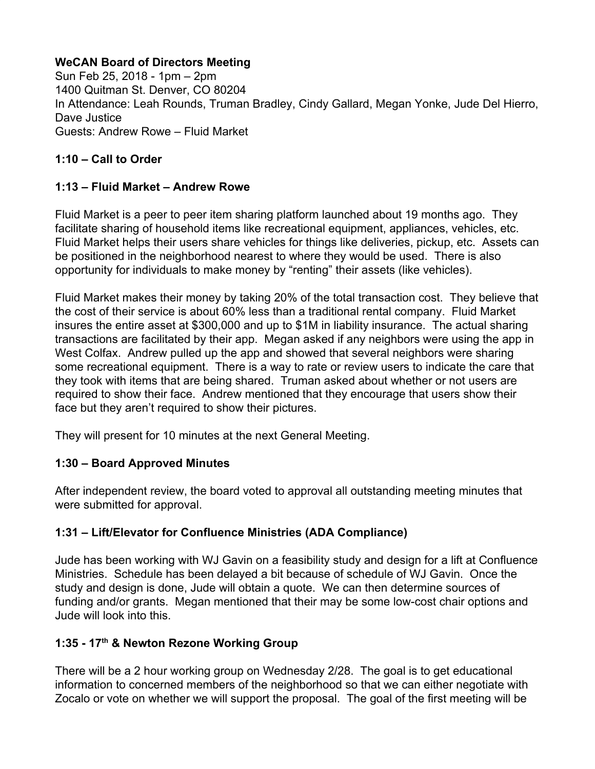#### **WeCAN Board of Directors Meeting**

Sun Feb 25, 2018 - 1pm – 2pm 1400 Quitman St. Denver, CO 80204 In Attendance: Leah Rounds, Truman Bradley, Cindy Gallard, Megan Yonke, Jude Del Hierro, Dave Justice Guests: Andrew Rowe – Fluid Market

## **1:10 – Call to Order**

#### **1:13 – Fluid Market – Andrew Rowe**

Fluid Market is a peer to peer item sharing platform launched about 19 months ago. They facilitate sharing of household items like recreational equipment, appliances, vehicles, etc. Fluid Market helps their users share vehicles for things like deliveries, pickup, etc. Assets can be positioned in the neighborhood nearest to where they would be used. There is also opportunity for individuals to make money by "renting" their assets (like vehicles).

Fluid Market makes their money by taking 20% of the total transaction cost. They believe that the cost of their service is about 60% less than a traditional rental company. Fluid Market insures the entire asset at \$300,000 and up to \$1M in liability insurance. The actual sharing transactions are facilitated by their app. Megan asked if any neighbors were using the app in West Colfax. Andrew pulled up the app and showed that several neighbors were sharing some recreational equipment. There is a way to rate or review users to indicate the care that they took with items that are being shared. Truman asked about whether or not users are required to show their face. Andrew mentioned that they encourage that users show their face but they aren't required to show their pictures.

They will present for 10 minutes at the next General Meeting.

## **1:30 – Board Approved Minutes**

After independent review, the board voted to approval all outstanding meeting minutes that were submitted for approval.

## **1:31 – Lift/Elevator for Confluence Ministries (ADA Compliance)**

Jude has been working with WJ Gavin on a feasibility study and design for a lift at Confluence Ministries. Schedule has been delayed a bit because of schedule of WJ Gavin. Once the study and design is done, Jude will obtain a quote. We can then determine sources of funding and/or grants. Megan mentioned that their may be some low-cost chair options and Jude will look into this.

#### **1:35 - 17th & Newton Rezone Working Group**

There will be a 2 hour working group on Wednesday 2/28. The goal is to get educational information to concerned members of the neighborhood so that we can either negotiate with Zocalo or vote on whether we will support the proposal. The goal of the first meeting will be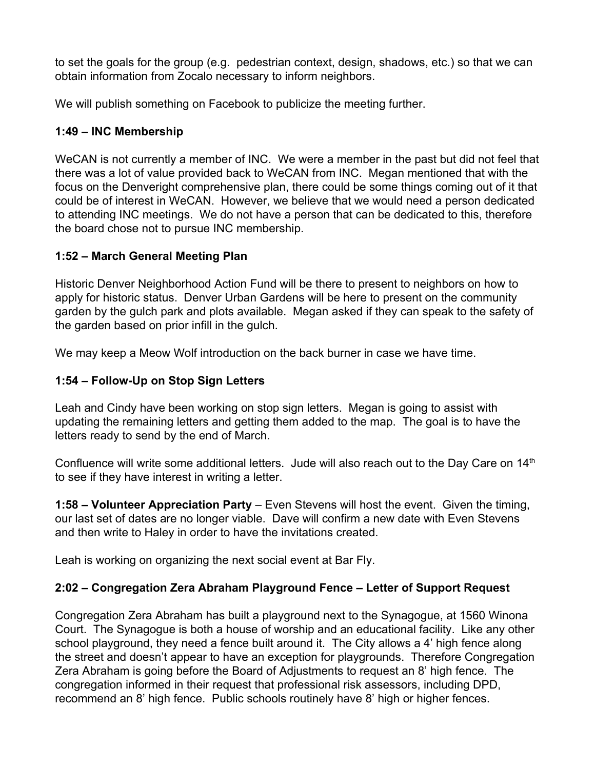to set the goals for the group (e.g. pedestrian context, design, shadows, etc.) so that we can obtain information from Zocalo necessary to inform neighbors.

We will publish something on Facebook to publicize the meeting further.

## **1:49 – INC Membership**

WeCAN is not currently a member of INC. We were a member in the past but did not feel that there was a lot of value provided back to WeCAN from INC. Megan mentioned that with the focus on the Denveright comprehensive plan, there could be some things coming out of it that could be of interest in WeCAN. However, we believe that we would need a person dedicated to attending INC meetings. We do not have a person that can be dedicated to this, therefore the board chose not to pursue INC membership.

## **1:52 – March General Meeting Plan**

Historic Denver Neighborhood Action Fund will be there to present to neighbors on how to apply for historic status. Denver Urban Gardens will be here to present on the community garden by the gulch park and plots available. Megan asked if they can speak to the safety of the garden based on prior infill in the gulch.

We may keep a Meow Wolf introduction on the back burner in case we have time.

# **1:54 – Follow-Up on Stop Sign Letters**

Leah and Cindy have been working on stop sign letters. Megan is going to assist with updating the remaining letters and getting them added to the map. The goal is to have the letters ready to send by the end of March.

Confluence will write some additional letters. Jude will also reach out to the Day Care on  $14<sup>th</sup>$ to see if they have interest in writing a letter.

**1:58 – Volunteer Appreciation Party** – Even Stevens will host the event. Given the timing, our last set of dates are no longer viable. Dave will confirm a new date with Even Stevens and then write to Haley in order to have the invitations created.

Leah is working on organizing the next social event at Bar Fly.

## **2:02 – Congregation Zera Abraham Playground Fence – Letter of Support Request**

Congregation Zera Abraham has built a playground next to the Synagogue, at 1560 Winona Court. The Synagogue is both a house of worship and an educational facility. Like any other school playground, they need a fence built around it. The City allows a 4' high fence along the street and doesn't appear to have an exception for playgrounds. Therefore Congregation Zera Abraham is going before the Board of Adjustments to request an 8' high fence. The congregation informed in their request that professional risk assessors, including DPD, recommend an 8' high fence. Public schools routinely have 8' high or higher fences.